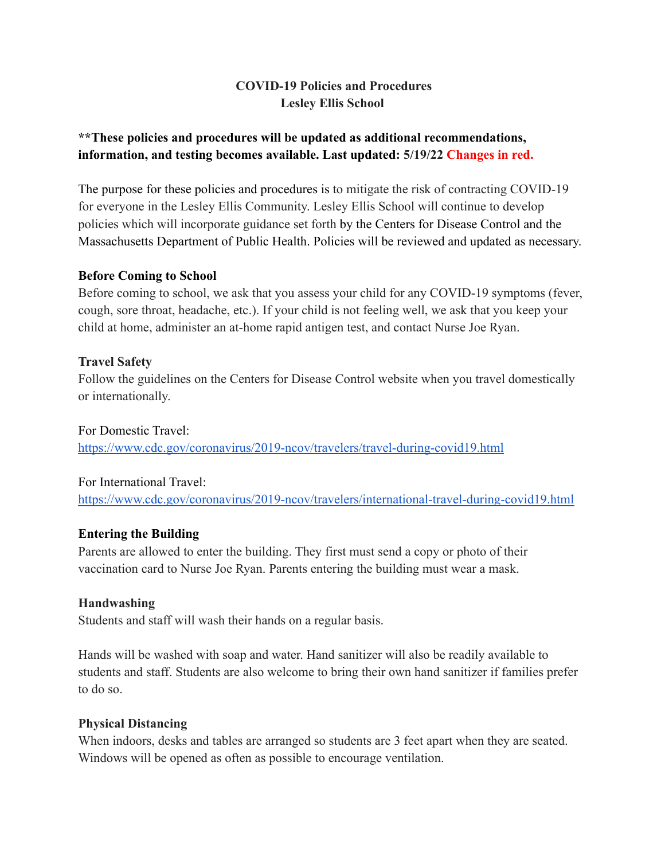## **COVID-19 Policies and Procedures Lesley Ellis School**

# **\*\*These policies and procedures will be updated as additional recommendations, information, and testing becomes available. Last updated: 5/19/22 Changes in red.**

The purpose for these policies and procedures is to mitigate the risk of contracting COVID-19 for everyone in the Lesley Ellis Community. Lesley Ellis School will continue to develop policies which will incorporate guidance set forth by the Centers for Disease Control and the Massachusetts Department of Public Health. Policies will be reviewed and updated as necessary.

#### **Before Coming to School**

Before coming to school, we ask that you assess your child for any COVID-19 symptoms (fever, cough, sore throat, headache, etc.). If your child is not feeling well, we ask that you keep your child at home, administer an at-home rapid antigen test, and contact Nurse Joe Ryan.

## **Travel Safety**

Follow the guidelines on the Centers for Disease Control website when you travel domestically or internationally.

For Domestic Travel: <https://www.cdc.gov/coronavirus/2019-ncov/travelers/travel-during-covid19.html>

## For International Travel:

<https://www.cdc.gov/coronavirus/2019-ncov/travelers/international-travel-during-covid19.html>

## **Entering the Building**

Parents are allowed to enter the building. They first must send a copy or photo of their vaccination card to Nurse Joe Ryan. Parents entering the building must wear a mask.

## **Handwashing**

Students and staff will wash their hands on a regular basis.

Hands will be washed with soap and water. Hand sanitizer will also be readily available to students and staff. Students are also welcome to bring their own hand sanitizer if families prefer to do so.

## **Physical Distancing**

When indoors, desks and tables are arranged so students are 3 feet apart when they are seated. Windows will be opened as often as possible to encourage ventilation.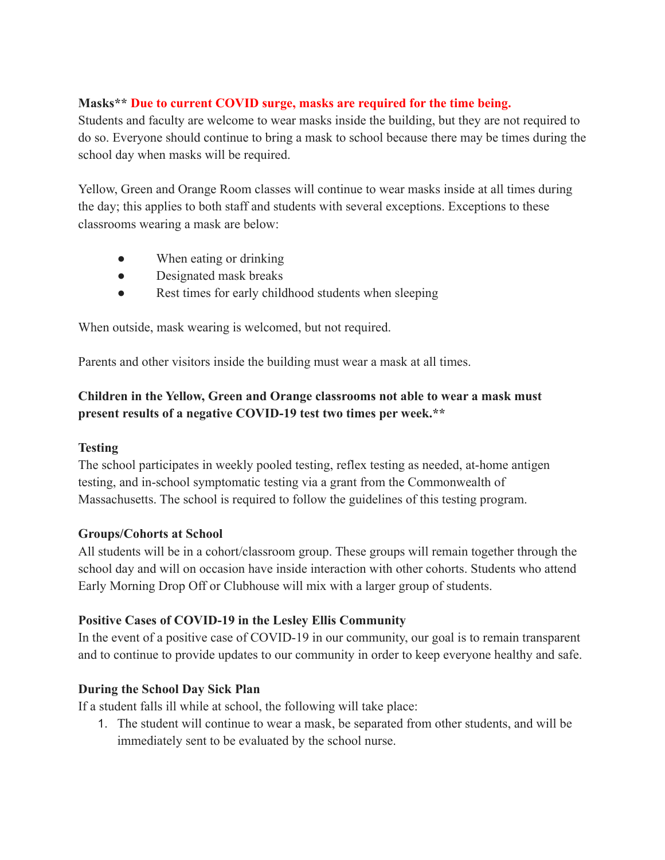#### **Masks\*\* Due to current COVID surge, masks are required for the time being.**

Students and faculty are welcome to wear masks inside the building, but they are not required to do so. Everyone should continue to bring a mask to school because there may be times during the school day when masks will be required.

Yellow, Green and Orange Room classes will continue to wear masks inside at all times during the day; this applies to both staff and students with several exceptions. Exceptions to these classrooms wearing a mask are below:

- When eating or drinking
- Designated mask breaks
- Rest times for early childhood students when sleeping

When outside, mask wearing is welcomed, but not required.

Parents and other visitors inside the building must wear a mask at all times.

# **Children in the Yellow, Green and Orange classrooms not able to wear a mask must present results of a negative COVID-19 test two times per week.\*\***

#### **Testing**

The school participates in weekly pooled testing, reflex testing as needed, at-home antigen testing, and in-school symptomatic testing via a grant from the Commonwealth of Massachusetts. The school is required to follow the guidelines of this testing program.

## **Groups/Cohorts at School**

All students will be in a cohort/classroom group. These groups will remain together through the school day and will on occasion have inside interaction with other cohorts. Students who attend Early Morning Drop Off or Clubhouse will mix with a larger group of students.

## **Positive Cases of COVID-19 in the Lesley Ellis Community**

In the event of a positive case of COVID-19 in our community, our goal is to remain transparent and to continue to provide updates to our community in order to keep everyone healthy and safe.

## **During the School Day Sick Plan**

If a student falls ill while at school, the following will take place:

1. The student will continue to wear a mask, be separated from other students, and will be immediately sent to be evaluated by the school nurse.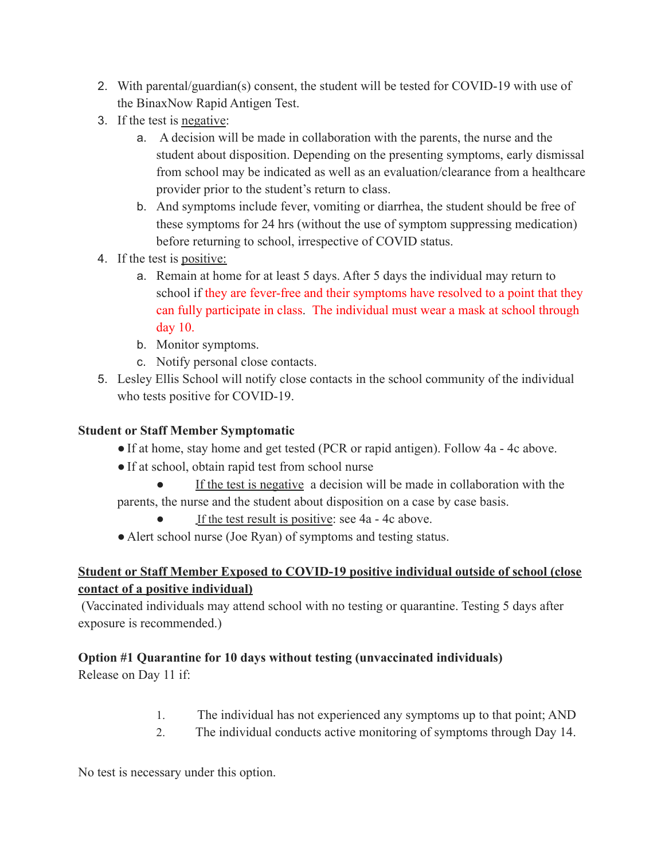- 2. With parental/guardian(s) consent, the student will be tested for COVID-19 with use of the BinaxNow Rapid Antigen Test.
- 3. If the test is negative:
	- a. A decision will be made in collaboration with the parents, the nurse and the student about disposition. Depending on the presenting symptoms, early dismissal from school may be indicated as well as an evaluation/clearance from a healthcare provider prior to the student's return to class.
	- b. And symptoms include fever, vomiting or diarrhea, the student should be free of these symptoms for 24 hrs (without the use of symptom suppressing medication) before returning to school, irrespective of COVID status.
- 4. If the test is positive:
	- a. Remain at home for at least 5 days. After 5 days the individual may return to school if they are fever-free and their symptoms have resolved to a point that they can fully participate in class. The individual must wear a mask at school through day 10.
	- b. Monitor symptoms.
	- c. Notify personal close contacts.
- 5. Lesley Ellis School will notify close contacts in the school community of the individual who tests positive for COVID-19.

## **Student or Staff Member Symptomatic**

- ●If at home, stay home and get tested (PCR or rapid antigen). Follow 4a 4c above.
- If at school, obtain rapid test from school nurse
- If the test is negative a decision will be made in collaboration with the parents, the nurse and the student about disposition on a case by case basis.
	- If the test result is positive: see 4a 4c above.
- Alert school nurse (Joe Ryan) of symptoms and testing status.

# **Student or Staff Member Exposed to COVID-19 positive individual outside of school (close contact of a positive individual)**

(Vaccinated individuals may attend school with no testing or quarantine. Testing 5 days after exposure is recommended.)

# **Option #1 Quarantine for 10 days without testing (unvaccinated individuals)**

Release on Day 11 if:

- 1. The individual has not experienced any symptoms up to that point; AND
- 2. The individual conducts active monitoring of symptoms through Day 14.

No test is necessary under this option.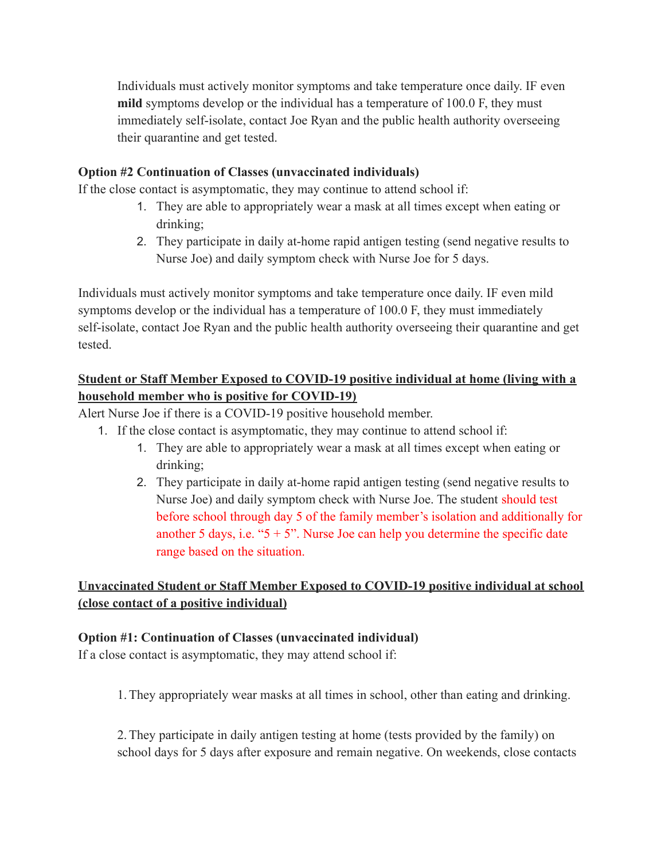Individuals must actively monitor symptoms and take temperature once daily. IF even **mild** symptoms develop or the individual has a temperature of 100.0 F, they must immediately self-isolate, contact Joe Ryan and the public health authority overseeing their quarantine and get tested.

#### **Option #2 Continuation of Classes (unvaccinated individuals)**

If the close contact is asymptomatic, they may continue to attend school if:

- 1. They are able to appropriately wear a mask at all times except when eating or drinking;
- 2. They participate in daily at-home rapid antigen testing (send negative results to Nurse Joe) and daily symptom check with Nurse Joe for 5 days.

Individuals must actively monitor symptoms and take temperature once daily. IF even mild symptoms develop or the individual has a temperature of 100.0 F, they must immediately self-isolate, contact Joe Ryan and the public health authority overseeing their quarantine and get tested.

## **Student or Staff Member Exposed to COVID-19 positive individual at home (living with a household member who is positive for COVID-19)**

Alert Nurse Joe if there is a COVID-19 positive household member.

- 1. If the close contact is asymptomatic, they may continue to attend school if:
	- 1. They are able to appropriately wear a mask at all times except when eating or drinking;
	- 2. They participate in daily at-home rapid antigen testing (send negative results to Nurse Joe) and daily symptom check with Nurse Joe. The student should test before school through day 5 of the family member's isolation and additionally for another 5 days, i.e. " $5 + 5$ ". Nurse Joe can help you determine the specific date range based on the situation.

# **Unvaccinated Student or Staff Member Exposed to COVID-19 positive individual at school (close contact of a positive individual)**

#### **Option #1: Continuation of Classes (unvaccinated individual)**

If a close contact is asymptomatic, they may attend school if:

1.They appropriately wear masks at all times in school, other than eating and drinking.

2.They participate in daily antigen testing at home (tests provided by the family) on school days for 5 days after exposure and remain negative. On weekends, close contacts